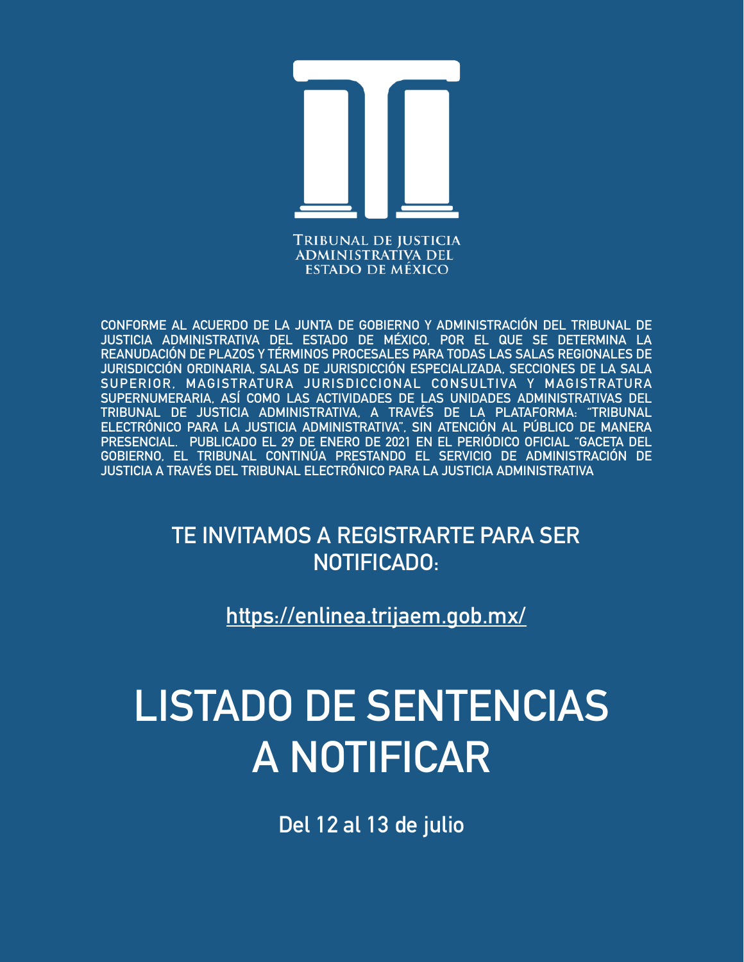

**CONFORME AL ACUERDO DE LA JUNTA DE GOBIERNO Y ADMINISTRACIÓN DEL TRIBUNAL DE JUSTICIA ADMINISTRATIVA DEL ESTADO DE MÉXICO, POR EL QUE SE DETERMINA LA REANUDACIÓN DE PLAZOS Y TÉRMINOS PROCESALES PARA TODAS LAS SALAS REGIONALES DE JURISDICCIÓN ORDINARIA, SALAS DE JURISDICCIÓN ESPECIALIZADA, SECCIONES DE LA SALA SUPERIOR, MAGISTRATURA JURISDICCIONAL CONSULTIVA Y MAGISTRATURA SUPERNUMERARIA, ASÍ COMO LAS ACTIVIDADES DE LAS UNIDADES ADMINISTRATIVAS DEL TRIBUNAL DE JUSTICIA ADMINISTRATIVA, A TRAVÉS DE LA PLATAFORMA: "TRIBUNAL ELECTRÓNICO PARA LA JUSTICIA ADMINISTRATIVA", SIN ATENCIÓN AL PÚBLICO DE MANERA PRESENCIAL. PUBLICADO EL 29 DE ENERO DE 2021 EN EL PERIÓDICO OFICIAL "GACETA DEL GOBIERNO, EL TRIBUNAL CONTINÚA PRESTANDO EL SERVICIO DE ADMINISTRACIÓN DE JUSTICIA A TRAVÉS DEL TRIBUNAL ELECTRÓNICO PARA LA JUSTICIA ADMINISTRATIVA**

> **TE INVITAMOS A REGISTRARTE PARA SER NOTIFICADO:**

> > **<https://enlinea.trijaem.gob.mx/>**

# **LISTADO DE SENTENCIAS A NOTIFICAR**

**Del 12 al 13 de julio**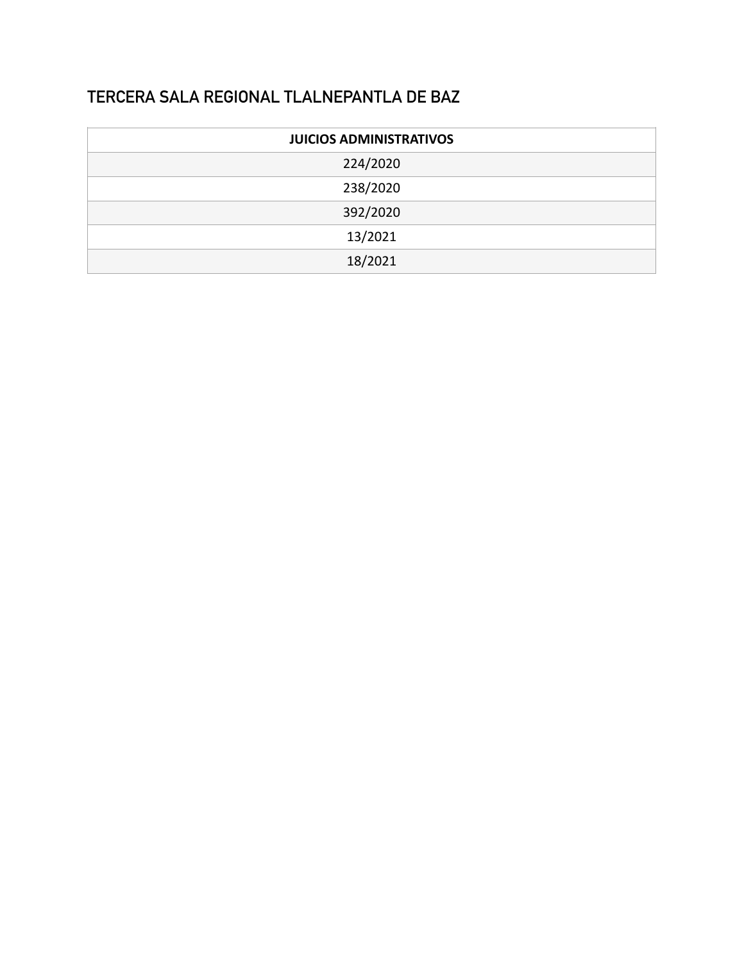#### **TERCERA SALA REGIONAL TLALNEPANTLA DE BAZ**

| <b>JUICIOS ADMINISTRATIVOS</b> |  |  |
|--------------------------------|--|--|
| 224/2020                       |  |  |
| 238/2020                       |  |  |
| 392/2020                       |  |  |
| 13/2021                        |  |  |
| 18/2021                        |  |  |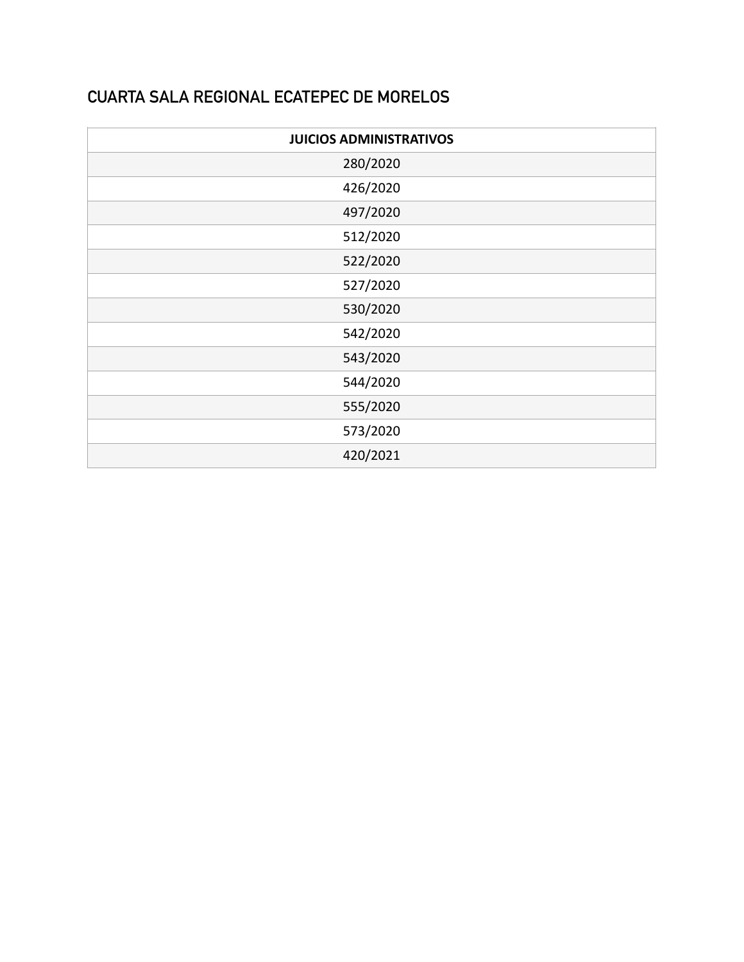#### **CUARTA SALA REGIONAL ECATEPEC DE MORELOS**

| <b>JUICIOS ADMINISTRATIVOS</b> |  |
|--------------------------------|--|
| 280/2020                       |  |
| 426/2020                       |  |
| 497/2020                       |  |
| 512/2020                       |  |
| 522/2020                       |  |
| 527/2020                       |  |
| 530/2020                       |  |
| 542/2020                       |  |
| 543/2020                       |  |
| 544/2020                       |  |
| 555/2020                       |  |
| 573/2020                       |  |
| 420/2021                       |  |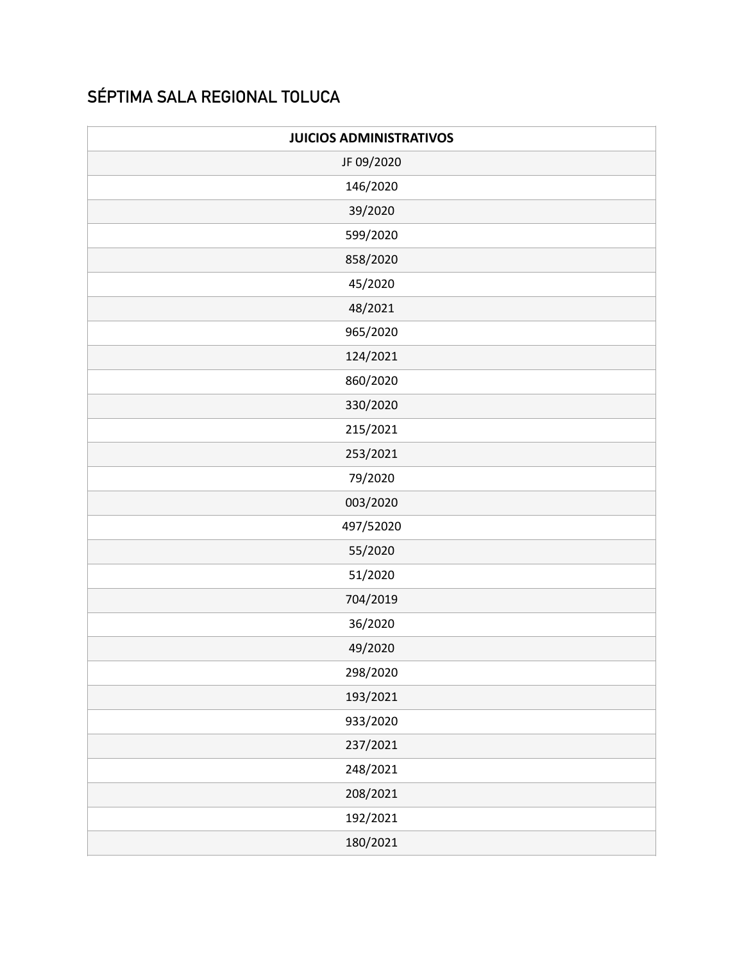## **SÉPTIMA SALA REGIONAL TOLUCA**

| <b>JUICIOS ADMINISTRATIVOS</b> |  |  |
|--------------------------------|--|--|
| JF 09/2020                     |  |  |
| 146/2020                       |  |  |
| 39/2020                        |  |  |
| 599/2020                       |  |  |
| 858/2020                       |  |  |
| 45/2020                        |  |  |
| 48/2021                        |  |  |
| 965/2020                       |  |  |
| 124/2021                       |  |  |
| 860/2020                       |  |  |
| 330/2020                       |  |  |
| 215/2021                       |  |  |
| 253/2021                       |  |  |
| 79/2020                        |  |  |
| 003/2020                       |  |  |
| 497/52020                      |  |  |
| 55/2020                        |  |  |
| 51/2020                        |  |  |
| 704/2019                       |  |  |
| 36/2020                        |  |  |
| 49/2020                        |  |  |
| 298/2020                       |  |  |
| 193/2021                       |  |  |
| 933/2020                       |  |  |
| 237/2021                       |  |  |
| 248/2021                       |  |  |
| 208/2021                       |  |  |
| 192/2021                       |  |  |
| 180/2021                       |  |  |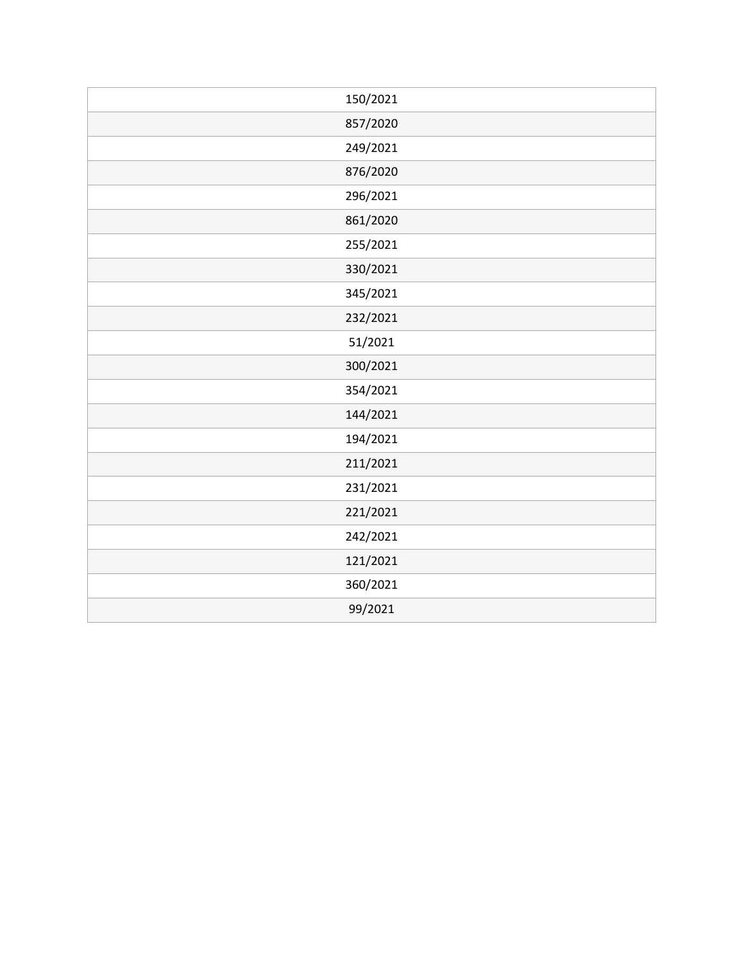| 150/2021 |
|----------|
| 857/2020 |
| 249/2021 |
| 876/2020 |
| 296/2021 |
| 861/2020 |
| 255/2021 |
| 330/2021 |
| 345/2021 |
| 232/2021 |
| 51/2021  |
| 300/2021 |
| 354/2021 |
| 144/2021 |
| 194/2021 |
| 211/2021 |
| 231/2021 |
| 221/2021 |
| 242/2021 |
| 121/2021 |
| 360/2021 |
| 99/2021  |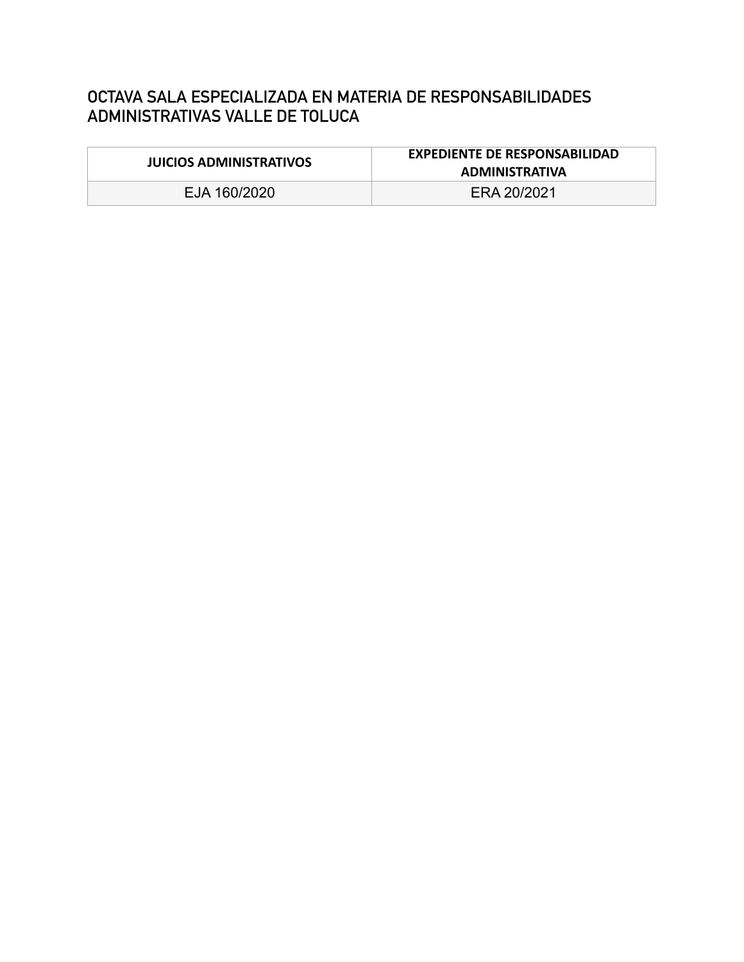#### **OCTAVA SALA ESPECIALIZADA EN MATERIA DE RESPONSABILIDADES ADMINISTRATIVAS VALLE DE TOLUCA**

| <b>JUICIOS ADMINISTRATIVOS</b> | <b>EXPEDIENTE DE RESPONSABILIDAD</b><br><b>ADMINISTRATIVA</b> |
|--------------------------------|---------------------------------------------------------------|
| EJA 160/2020                   | ERA 20/2021                                                   |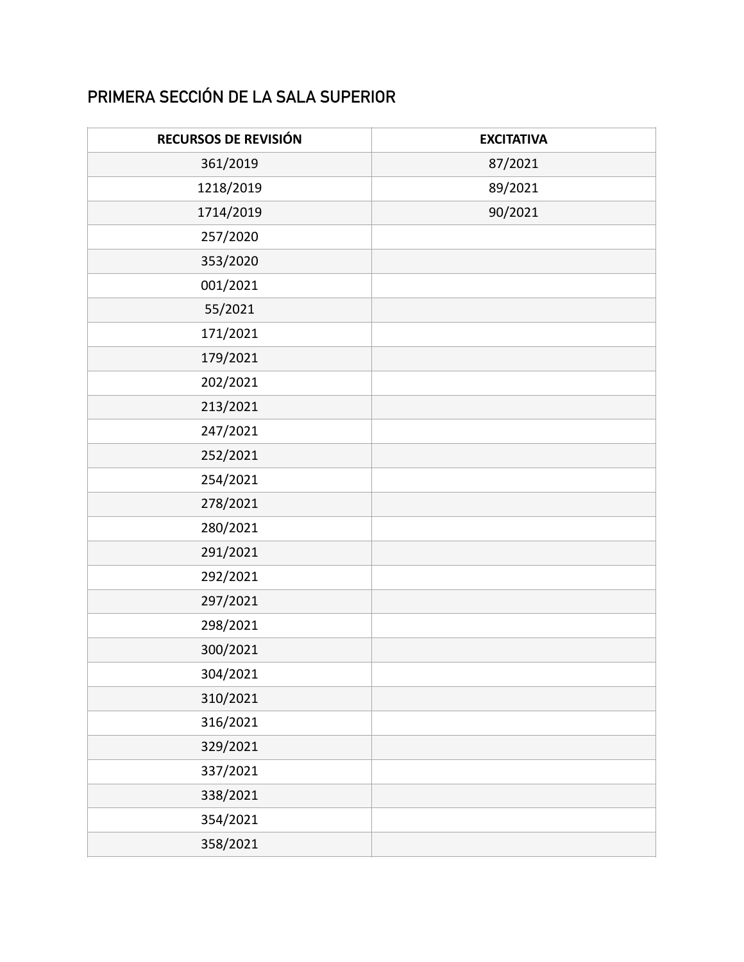## **PRIMERA SECCIÓN DE LA SALA SUPERIOR**

| RECURSOS DE REVISIÓN | <b>EXCITATIVA</b> |
|----------------------|-------------------|
| 361/2019             | 87/2021           |
| 1218/2019            | 89/2021           |
| 1714/2019            | 90/2021           |
| 257/2020             |                   |
| 353/2020             |                   |
| 001/2021             |                   |
| 55/2021              |                   |
| 171/2021             |                   |
| 179/2021             |                   |
| 202/2021             |                   |
| 213/2021             |                   |
| 247/2021             |                   |
| 252/2021             |                   |
| 254/2021             |                   |
| 278/2021             |                   |
| 280/2021             |                   |
| 291/2021             |                   |
| 292/2021             |                   |
| 297/2021             |                   |
| 298/2021             |                   |
| 300/2021             |                   |
| 304/2021             |                   |
| 310/2021             |                   |
| 316/2021             |                   |
| 329/2021             |                   |
| 337/2021             |                   |
| 338/2021             |                   |
| 354/2021             |                   |
| 358/2021             |                   |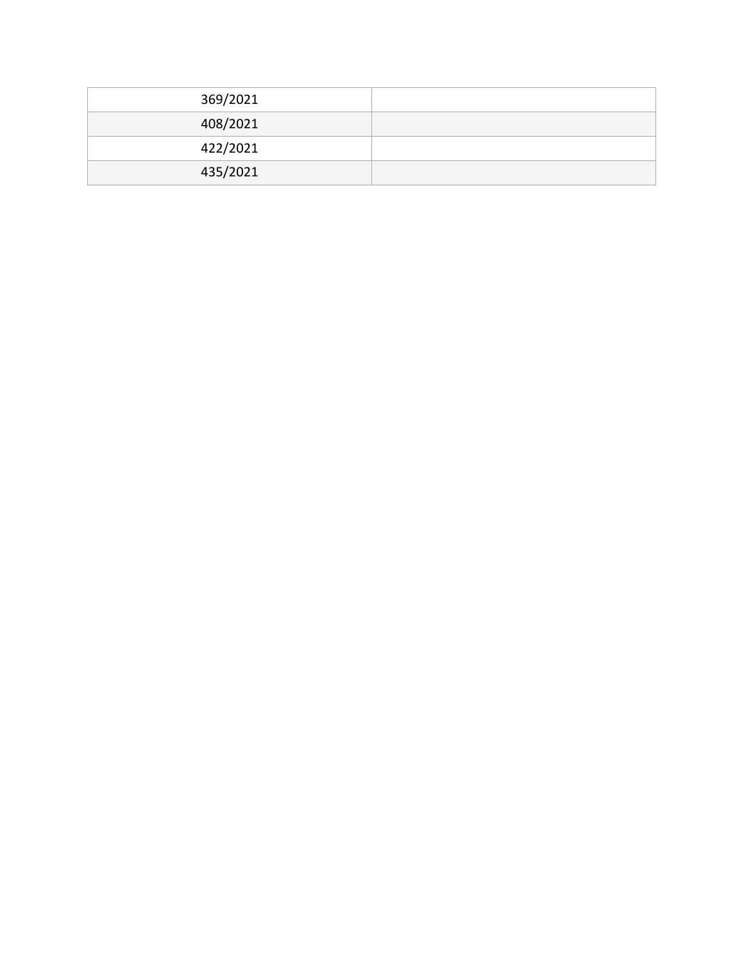| 369/2021 |  |
|----------|--|
| 408/2021 |  |
| 422/2021 |  |
| 435/2021 |  |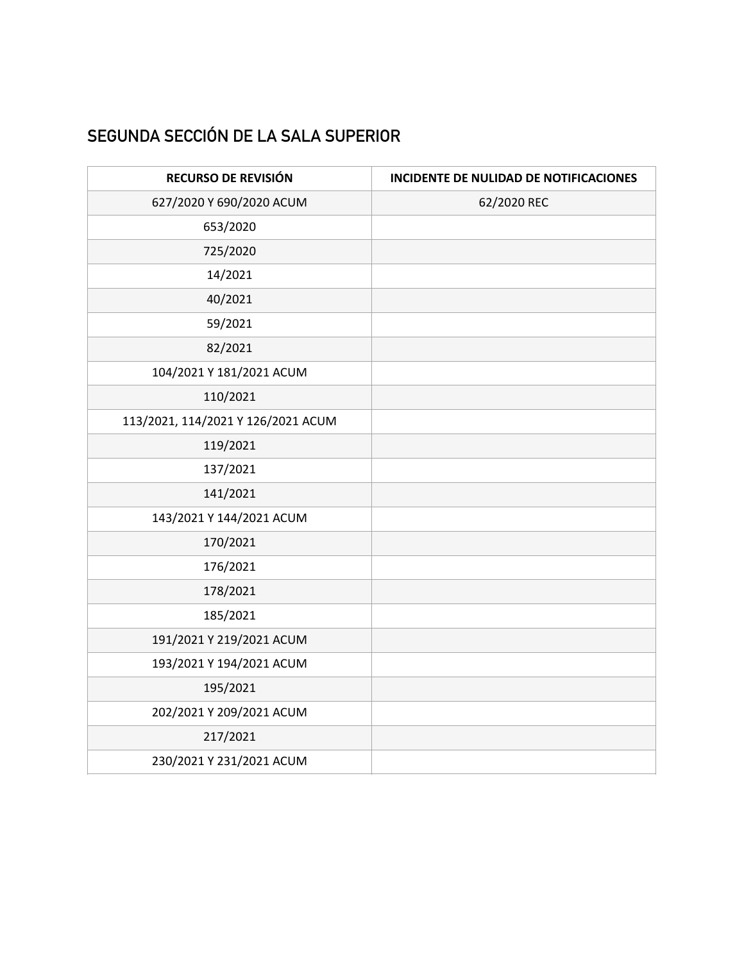## **SEGUNDA SECCIÓN DE LA SALA SUPERIOR**

| RECURSO DE REVISIÓN                | INCIDENTE DE NULIDAD DE NOTIFICACIONES |
|------------------------------------|----------------------------------------|
| 627/2020 Y 690/2020 ACUM           | 62/2020 REC                            |
| 653/2020                           |                                        |
| 725/2020                           |                                        |
| 14/2021                            |                                        |
| 40/2021                            |                                        |
| 59/2021                            |                                        |
| 82/2021                            |                                        |
| 104/2021 Y 181/2021 ACUM           |                                        |
| 110/2021                           |                                        |
| 113/2021, 114/2021 Y 126/2021 ACUM |                                        |
| 119/2021                           |                                        |
| 137/2021                           |                                        |
| 141/2021                           |                                        |
| 143/2021 Y 144/2021 ACUM           |                                        |
| 170/2021                           |                                        |
| 176/2021                           |                                        |
| 178/2021                           |                                        |
| 185/2021                           |                                        |
| 191/2021 Y 219/2021 ACUM           |                                        |
| 193/2021 Y 194/2021 ACUM           |                                        |
| 195/2021                           |                                        |
| 202/2021 Y 209/2021 ACUM           |                                        |
| 217/2021                           |                                        |
| 230/2021 Y 231/2021 ACUM           |                                        |